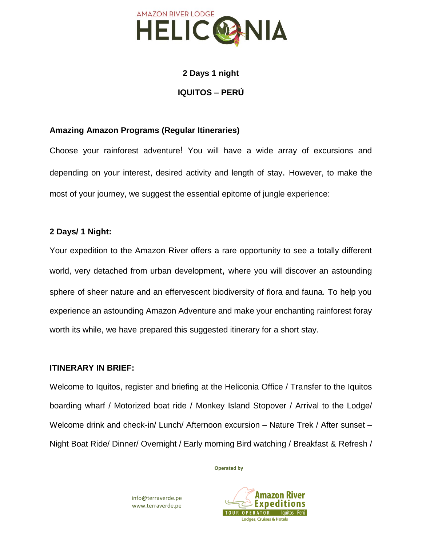

# **2 Days 1 night IQUITOS – PERÚ**

## **Amazing Amazon Programs (Regular Itineraries)**

Choose your rainforest adventure! You will have a wide array of excursions and depending on your interest, desired activity and length of stay. However, to make the most of your journey, we suggest the essential epitome of jungle experience:

## **2 Days/ 1 Night:**

Your expedition to the Amazon River offers a rare opportunity to see a totally different world, very detached from urban development, where you will discover an astounding sphere of sheer nature and an effervescent biodiversity of flora and fauna. To help you experience an astounding Amazon Adventure and make your enchanting rainforest foray worth its while, we have prepared this suggested itinerary for a short stay.

#### **ITINERARY IN BRIEF:**

Welcome to Iquitos, register and briefing at the Heliconia Office / Transfer to the Iquitos boarding wharf / Motorized boat ride / Monkey Island Stopover / Arrival to the Lodge/ Welcome drink and check-in/ Lunch/ Afternoon excursion – Nature Trek / After sunset – Night Boat Ride/ Dinner/ Overnight / Early morning Bird watching / Breakfast & Refresh /

**Operated by**

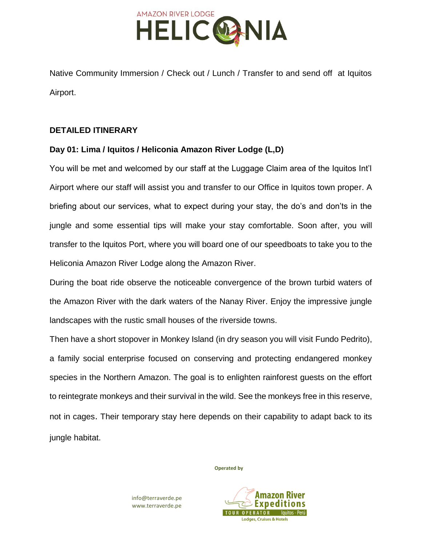

Native Community Immersion / Check out / Lunch / Transfer to and send off at Iquitos Airport.

#### **DETAILED ITINERARY**

## **Day 01: Lima / Iquitos / Heliconia Amazon River Lodge (L,D)**

You will be met and welcomed by our staff at the Luggage Claim area of the Iquitos Int'l Airport where our staff will assist you and transfer to our Office in Iquitos town proper. A briefing about our services, what to expect during your stay, the do's and don'ts in the jungle and some essential tips will make your stay comfortable. Soon after, you will transfer to the Iquitos Port, where you will board one of our speedboats to take you to the Heliconia Amazon River Lodge along the Amazon River.

During the boat ride observe the noticeable convergence of the brown turbid waters of the Amazon River with the dark waters of the Nanay River. Enjoy the impressive jungle landscapes with the rustic small houses of the riverside towns.

Then have a short stopover in Monkey Island (in dry season you will visit Fundo Pedrito), a family social enterprise focused on conserving and protecting endangered monkey species in the Northern Amazon. The goal is to enlighten rainforest guests on the effort to reintegrate monkeys and their survival in the wild. See the monkeys free in this reserve, not in cages. Their temporary stay here depends on their capability to adapt back to its jungle habitat.

**Operated by**

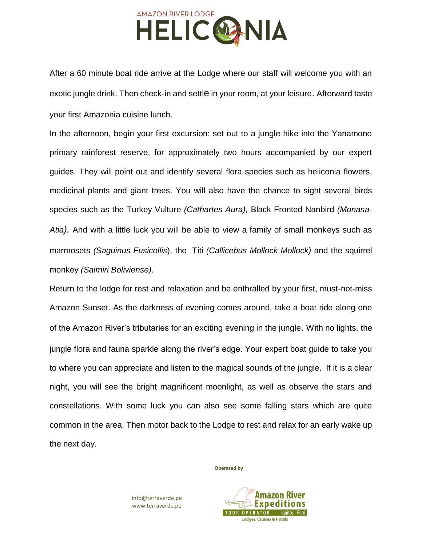

After a 60 minute boat ride arrive at the Lodge where our staff will welcome you with an exotic jungle drink. Then check-in and settle in your room, at your leisure. Afterward taste your first Amazonia cuisine lunch.

In the afternoon, begin your first excursion: set out to a jungle hike into the Yanamono primary rainforest reserve, for approximately two hours accompanied by our expert guides. They will point out and identify several flora species such as heliconia flowers, medicinal plants and giant trees. You will also have the chance to sight several birds species such as the Turkey Vulture *(Cathartes Aura),* Black Fronted Nanbird *(Monasa-Atia).* And with a little luck you will be able to view a family of small monkeys such as marmosets *(Saguinus Fusicollis*), the Titi *(Callicebus Mollock Mollock)* and the squirrel monkey *(Saimiri Boliviense)*.

Return to the lodge for rest and relaxation and be enthralled by your first, must-not-miss Amazon Sunset. As the darkness of evening comes around, take a boat ride along one of the Amazon River's tributaries for an exciting evening in the jungle. With no lights, the jungle flora and fauna sparkle along the river's edge. Your expert boat guide to take you to where you can appreciate and listen to the magical sounds of the jungle. If it is a clear night, you will see the bright magnificent moonlight, as well as observe the stars and constellations. With some luck you can also see some falling stars which are quite common in the area. Then motor back to the Lodge to rest and relax for an early wake up the next day.

**Operated by**

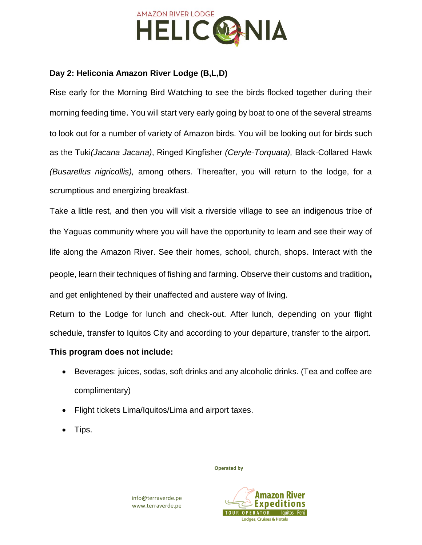

## **Day 2: Heliconia Amazon River Lodge (B,L,D)**

Rise early for the Morning Bird Watching to see the birds flocked together during their morning feeding time. You will start very early going by boat to one of the several streams to look out for a number of variety of Amazon birds. You will be looking out for birds such as the Tuki*(Jacana Jacana)*, Ringed Kingfisher *(Ceryle-Torquata),* Black-Collared Hawk *(Busarellus nigricollis),* among others. Thereafter, you will return to the lodge, for a scrumptious and energizing breakfast.

Take a little rest, and then you will visit a riverside village to see an indigenous tribe of the Yaguas community where you will have the opportunity to learn and see their way of life along the Amazon River. See their homes, school, church, shops. Interact with the people, learn their techniques of fishing and farming. Observe their customs and tradition**,** and get enlightened by their unaffected and austere way of living.

Return to the Lodge for lunch and check-out. After lunch, depending on your flight schedule, transfer to Iquitos City and according to your departure, transfer to the airport.

## **This program does not include:**

- Beverages: juices, sodas, soft drinks and any alcoholic drinks. (Tea and coffee are complimentary)
- Flight tickets Lima/Iquitos/Lima and airport taxes.
- Tips.

**Operated by**

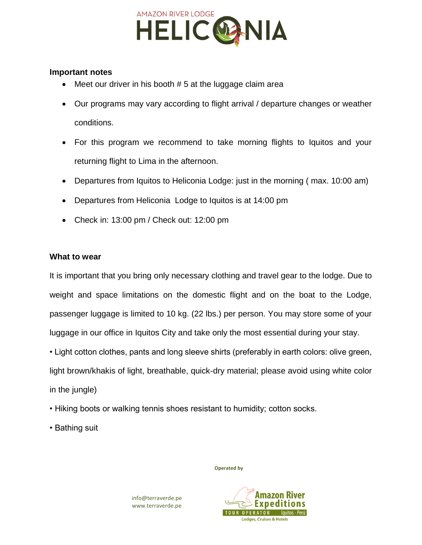

#### **Important notes**

- Meet our driver in his booth # 5 at the luggage claim area
- Our programs may vary according to flight arrival / departure changes or weather conditions.
- For this program we recommend to take morning flights to Iquitos and your returning flight to Lima in the afternoon.
- Departures from Iquitos to Heliconia Lodge: just in the morning ( max. 10:00 am)
- Departures from Heliconia Lodge to Iquitos is at 14:00 pm
- Check in: 13:00 pm / Check out: 12:00 pm

#### **What to wear**

It is important that you bring only necessary clothing and travel gear to the lodge. Due to weight and space limitations on the domestic flight and on the boat to the Lodge, passenger luggage is limited to 10 kg. (22 lbs.) per person. You may store some of your luggage in our office in Iquitos City and take only the most essential during your stay.

• Light cotton clothes, pants and long sleeve shirts (preferably in earth colors: olive green, light brown/khakis of light, breathable, quick-dry material; please avoid using white color in the jungle)

- Hiking boots or walking tennis shoes resistant to humidity; cotton socks.
- Bathing suit

**Operated by**

Amazon Expediti **TOUR OPERATOR** lauitos - Perú **Lodges, Cruises & Hotels**